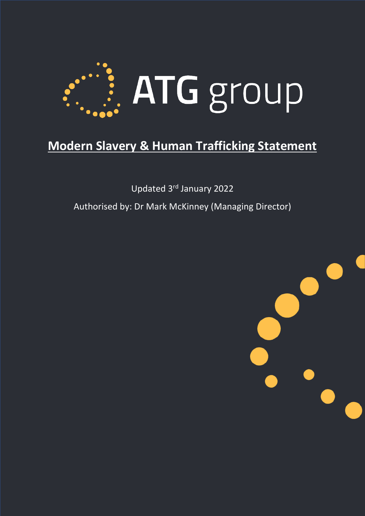

# **Modern Slavery & Human Trafficking Statement**

Updated 3rd January 2022

Authorised by: Dr Mark McKinney (Managing Director)

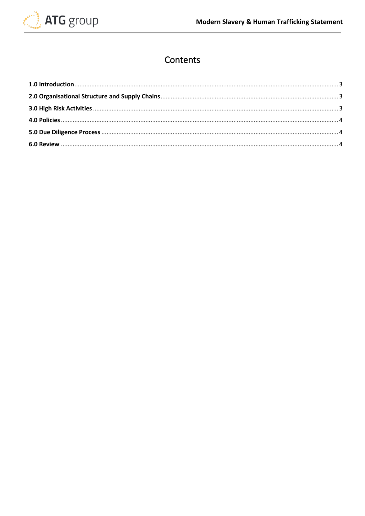

# Contents

<span id="page-1-0"></span>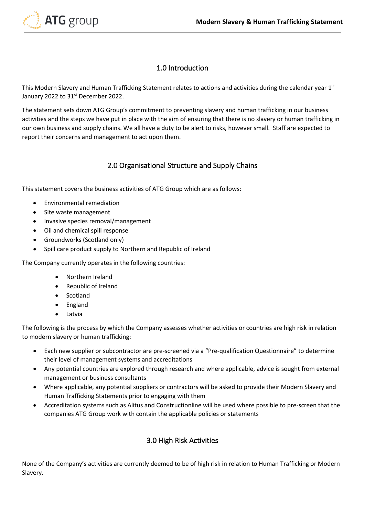

## 1.0 Introduction

This Modern Slavery and Human Trafficking Statement relates to actions and activities during the calendar year 1st January 2022 to 31<sup>st</sup> December 2022.

The statement sets down ATG Group's commitment to preventing slavery and human trafficking in our business activities and the steps we have put in place with the aim of ensuring that there is no slavery or human trafficking in our own business and supply chains. We all have a duty to be alert to risks, however small. Staff are expected to report their concerns and management to act upon them.

#### 2.0 Organisational Structure and Supply Chains

<span id="page-2-0"></span>This statement covers the business activities of ATG Group which are as follows:

- Environmental remediation
- Site waste management
- Invasive species removal/management
- Oil and chemical spill response
- Groundworks (Scotland only)
- Spill care product supply to Northern and Republic of Ireland

The Company currently operates in the following countries:

- Northern Ireland
- Republic of Ireland
- Scotland
- England
- Latvia

The following is the process by which the Company assesses whether activities or countries are high risk in relation to modern slavery or human trafficking:

- Each new supplier or subcontractor are pre-screened via a "Pre-qualification Questionnaire" to determine their level of management systems and accreditations
- Any potential countries are explored through research and where applicable, advice is sought from external management or business consultants
- Where applicable, any potential suppliers or contractors will be asked to provide their Modern Slavery and Human Trafficking Statements prior to engaging with them
- Accreditation systems such as Alitus and Constructionline will be used where possible to pre-screen that the companies ATG Group work with contain the applicable policies or statements

## 3.0 High Risk Activities

<span id="page-2-1"></span>None of the Company's activities are currently deemed to be of high risk in relation to Human Trafficking or Modern Slavery.